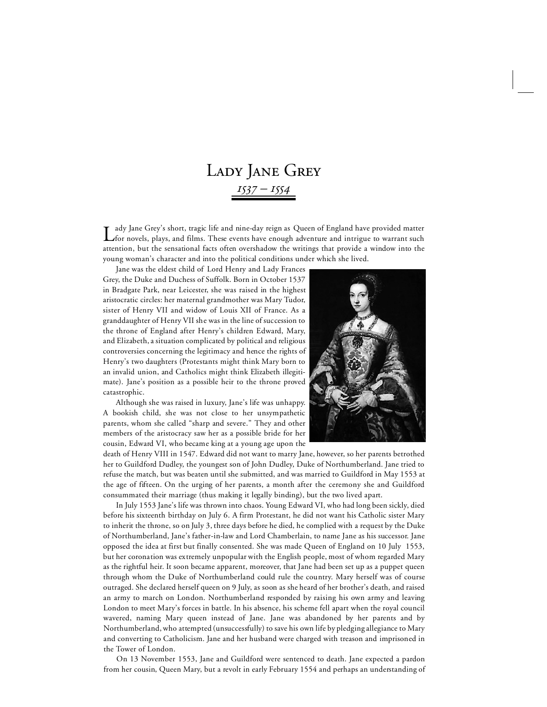# LADY JANE GREY *1537 – 1554*

Let ady Jane Grey's short, tragic life and nine-day reign as Queen of England have provided matter of the origin at the sevents have enough adventure and intrigue to warrant such the novels, plays, and films. These events ady Jane Grey's short, tragic life and nine-day reign as Queen of England have provided matter attention, but the sensational facts often overshadow the writings that provide a window into the young woman's character and into the political conditions under which she lived.

Jane was the eldest child of Lord Henry and Lady Frances Grey, the Duke and Duchess of Suffolk. Born in October 1537 in Bradgate Park, near Leicester, she was raised in the highest aristocratic circles: her maternal grandmother was Mary Tudor, sister of Henry VII and widow of Louis XII of France. As a granddaughter of Henry VII she was in the line of succession to the throne of England after Henry's children Edward, Mary, and Elizabeth, a situation complicated by political and religious controversies concerning the legitimacy and hence the rights of Henry's two daughters (Protestants might think Mary born to an invalid union, and Catholics might think Elizabeth illegitimate). Jane's position as a possible heir to the throne proved catastrophic.

Although she was raised in luxury, Jane's life was unhappy. A bookish child, she was not close to her unsympathetic parents, whom she called "sharp and severe." They and other members of the aristocracy saw her as a possible bride for her cousin, Edward VI, who became king at a young age upon the



death of Henry VIII in 1547. Edward did not want to marry Jane, however, so her parents betrothed her to Guildford Dudley, the youngest son of John Dudley, Duke of Northumberland. Jane tried to refuse the match, but was beaten until she submitted, and was married to Guildford in May 1553 at the age of fifteen. On the urging of her parents, a month after the ceremony she and Guildford consummated their marriage (thus making it legally binding), but the two lived apart.

In July 1553 Jane's life was thrown into chaos. Young Edward VI, who had long been sickly, died before his sixteenth birthday on July 6. A firm Protestant, he did not want his Catholic sister Mary to inherit the throne, so on July 3, three days before he died, he complied with a request by the Duke of Northumberland, Jane's father-in-law and Lord Chamberlain, to name Jane as his successor. Jane opposed the idea at first but finally consented. She was made Queen of England on 10 July 1553, but her coronation was extremely unpopular with the English people, most of whom regarded Mary as the rightful heir. It soon became apparent, moreover, that Jane had been set up as a puppet queen through whom the Duke of Northumberland could rule the country. Mary herself was of course outraged. She declared herself queen on 9 July, as soon as she heard of her brother's death, and raised an army to march on London. Northumberland responded by raising his own army and leaving London to meet Mary's forces in battle. In his absence, his scheme fell apart when the royal council wavered, naming Mary queen instead of Jane. Jane was abandoned by her parents and by Northumberland, who attempted (unsuccessfully) to save his own life by pledging allegiance to Mary and converting to Catholicism. Jane and her husband were charged with treason and imprisoned in the Tower of London.

On 13 November 1553, Jane and Guildford were sentenced to death. Jane expected a pardon from her cousin, Queen Mary, but a revolt in early February 1554 and perhaps an understanding of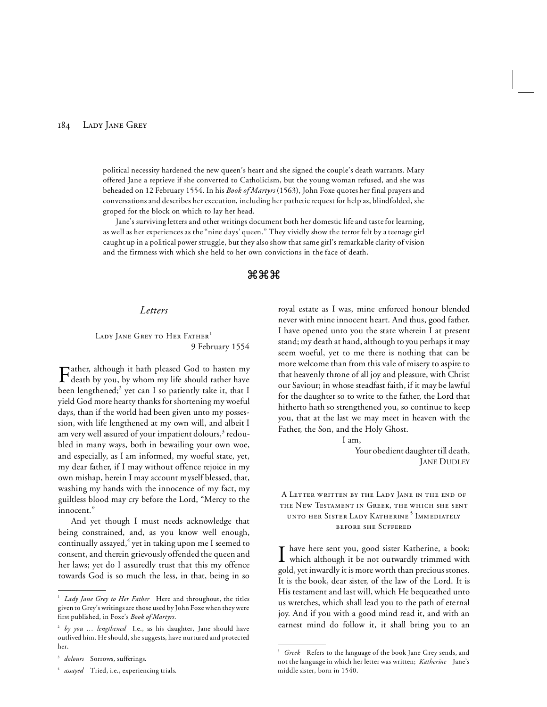### 184 Lady Jane Grey

political necessity hardened the new queen's heart and she signed the couple's death warrants. Mary offered Jane a reprieve if she converted to Catholicism, but the young woman refused, and she was beheaded on 12 February 1554. In his *Book of Martyrs* (1563), John Foxe quotes her final prayers and conversations and describes her execution, including her pathetic request for help as, blindfolded, she groped for the block on which to lay her head.

Jane's surviving letters and other writings document both her domestic life and taste for learning, as well as her experiences as the "nine days' queen." They vividly show the terror felt by a teenage girl caught up in a political power struggle, but they also show that same girl's remarkable clarity of vision and the firmness with which she held to her own convictions in the face of death.

# zzz

### *Letters*

# LADY JANE GREY TO HER FATHER<sup>1</sup> 9 February 1554

Father, although it hath pleased God to hasten my<br>death by you, by whom my life should rather have death by you, by whom my life should rather have been lengthened; $^2$  yet can I so patiently take it, that I yield God more hearty thanks for shortening my woeful days, than if the world had been given unto my possession, with life lengthened at my own will, and albeit I am very well assured of your impatient dolours, $^3$  redoubled in many ways, both in bewailing your own woe, and especially, as I am informed, my woeful state, yet, my dear father, if I may without offence rejoice in my own mishap, herein I may account myself blessed, that, washing my hands with the innocence of my fact, my guiltless blood may cry before the Lord, "Mercy to the innocent."

And yet though I must needs acknowledge that being constrained, and, as you know well enough, continually assayed, $^4$  yet in taking upon me I seemed to consent, and therein grievously offended the queen and her laws; yet do I assuredly trust that this my offence towards God is so much the less, in that, being in so

royal estate as I was, mine enforced honour blended never with mine innocent heart. And thus, good father, I have opened unto you the state wherein I at present stand; my death at hand, although to you perhaps it may seem woeful, yet to me there is nothing that can be more welcome than from this vale of misery to aspire to that heavenly throne of all joy and pleasure, with Christ our Saviour; in whose steadfast faith, if it may be lawful for the daughter so to write to the father, the Lord that hitherto hath so strengthened you, so continue to keep you, that at the last we may meet in heaven with the Father, the Son, and the Holy Ghost.

I am,

Your obedient daughter till death, **JANE DUDLEY** 

A Letter written by the Lady Jane in the end of the New Testament in Greek, the which she sent unto her Sister Lady Katherine <sup>5</sup> Immediately before she Suffered

I have here sent you, good sister Katherine, a book:<br>which although it be not outwardly trimmed with have here sent you, good sister Katherine, a book: gold, yet inwardly it is more worth than precious stones. It is the book, dear sister, of the law of the Lord. It is His testament and last will, which He bequeathed unto us wretches, which shall lead you to the path of eternal joy. And if you with a good mind read it, and with an earnest mind do follow it, it shall bring you to an

<sup>1</sup> *Lady Jane Grey to Her Father* Here and throughout, the titles given to Grey's writings are those used by John Foxe when they were first published, in Foxe's *Book of Martyrs*.

<sup>2</sup> *by you … lengthened* I.e., as his daughter, Jane should have outlived him. He should, she suggests, have nurtured and protected her.

<sup>3</sup> *dolours* Sorrows, sufferings.

<sup>4</sup> *assayed* Tried, i.e., experiencing trials.

<sup>5</sup> *Greek* Refers to the language of the book Jane Grey sends, and not the language in which her letter was written; *Katherine* Jane's middle sister, born in 1540.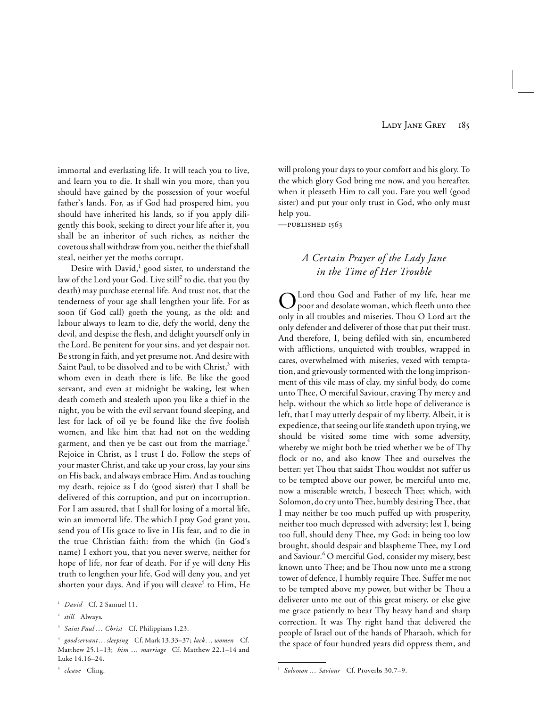immortal and everlasting life. It will teach you to live, and learn you to die. It shall win you more, than you should have gained by the possession of your woeful father's lands. For, as if God had prospered him, you should have inherited his lands, so if you apply diligently this book, seeking to direct your life after it, you shall be an inheritor of such riches, as neither the covetous shall withdraw from you, neither the thief shall steal, neither yet the moths corrupt.

Desire with David,<sup>1</sup> good sister, to understand the law of the Lord your God. Live still $^2$  to die, that you (by death) may purchase eternal life. And trust not, that the tenderness of your age shall lengthen your life. For as soon (if God call) goeth the young, as the old: and labour always to learn to die, defy the world, deny the devil, and despise the flesh, and delight yourself only in the Lord. Be penitent for your sins, and yet despair not. Be strong in faith, and yet presume not. And desire with Saint Paul, to be dissolved and to be with Christ,<sup>3</sup> with whom even in death there is life. Be like the good servant, and even at midnight be waking, lest when death cometh and stealeth upon you like a thief in the night, you be with the evil servant found sleeping, and lest for lack of oil ye be found like the five foolish women, and like him that had not on the wedding garment, and then ye be cast out from the marriage.<sup>4</sup> Rejoice in Christ, as I trust I do. Follow the steps of your master Christ, and take up your cross, lay your sins on His back, and always embrace Him. And as touching my death, rejoice as I do (good sister) that I shall be delivered of this corruption, and put on incorruption. For I am assured, that I shall for losing of a mortal life, win an immortal life. The which I pray God grant you, send you of His grace to live in His fear, and to die in the true Christian faith: from the which (in God's name) I exhort you, that you never swerve, neither for hope of life, nor fear of death. For if ye will deny His truth to lengthen your life, God will deny you, and yet shorten your days. And if you will cleave 5 to Him, He

<sup>5</sup> *cleave* Cling.

will prolong your days to your comfort and his glory. To the which glory God bring me now, and you hereafter, when it pleaseth Him to call you. Fare you well (good sister) and put your only trust in God, who only must help you.

—published 1563

# *A Certain Prayer of the Lady Jane in the Time of Her Trouble*

O Lord thou God and Father of my life, hear me<br>only in all troubles and miseries. Thou O Lord art the Lord thou God and Father of my life, hear me poor and desolate woman, which fleeth unto thee only defender and deliverer of those that put their trust. And therefore, I, being defiled with sin, encumbered with afflictions, unquieted with troubles, wrapped in cares, overwhelmed with miseries, vexed with temptation, and grievously tormented with the long imprisonment of this vile mass of clay, my sinful body, do come unto Thee, O merciful Saviour, craving Thy mercy and help, without the which so little hope of deliverance is left, that I may utterly despair of my liberty. Albeit, it is expedience, that seeing our life standeth upon trying, we should be visited some time with some adversity, whereby we might both be tried whether we be of Thy flock or no, and also know Thee and ourselves the better: yet Thou that saidst Thou wouldst not suffer us to be tempted above our power, be merciful unto me, now a miserable wretch, I beseech Thee; which, with Solomon, do cry unto Thee, humbly desiring Thee, that I may neither be too much puffed up with prosperity, neither too much depressed with adversity; lest I, being too full, should deny Thee, my God; in being too low brought, should despair and blaspheme Thee, my Lord and Saviour.<sup>6</sup> O merciful God, consider my misery, best known unto Thee; and be Thou now unto me a strong tower of defence, I humbly require Thee. Suffer me not to be tempted above my power, but wither be Thou a deliverer unto me out of this great misery, or else give me grace patiently to bear Thy heavy hand and sharp correction. It was Thy right hand that delivered the people of Israel out of the hands of Pharaoh, which for the space of four hundred years did oppress them, and

<sup>1</sup> *David* Cf. 2 Samuel 11.

<sup>2</sup> *still* Always.

<sup>3</sup> *Saint Paul … Christ* Cf. Philippians 1.23.

<sup>4</sup> *good servant… sleeping* Cf. Mark 13.33–37; *lack… women* Cf. Matthew 25.1–13; *him … marriage* Cf. Matthew 22.1–14 and Luke 14.16–24.

*Solomon … Saviour* Cf. Proverbs 30.7–9.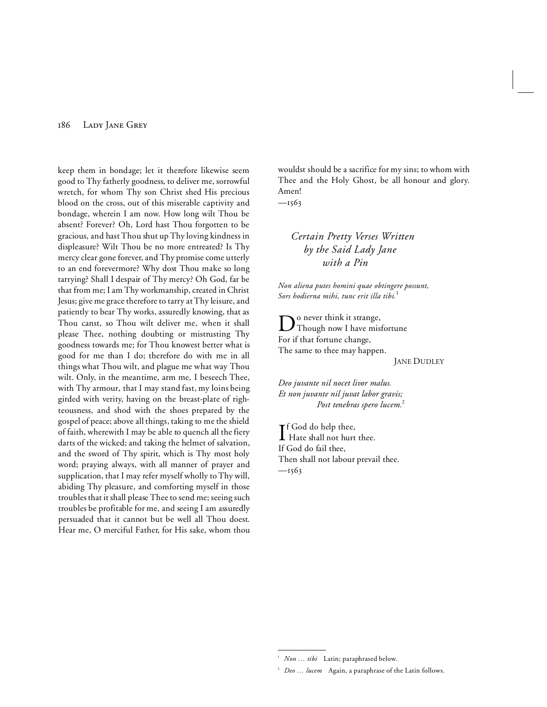## 186 Lady Jane Grey

keep them in bondage; let it therefore likewise seem good to Thy fatherly goodness, to deliver me, sorrowful wretch, for whom Thy son Christ shed His precious blood on the cross, out of this miserable captivity and bondage, wherein I am now. How long wilt Thou be absent? Forever? Oh, Lord hast Thou forgotten to be gracious, and hast Thou shut up Thy loving kindness in displeasure? Wilt Thou be no more entreated? Is Thy mercy clear gone forever, and Thy promise come utterly to an end forevermore? Why dost Thou make so long tarrying? Shall I despair of Thy mercy? Oh God, far be that from me; I am Thy workmanship, created in Christ Jesus; give me grace therefore to tarry at Thy leisure, and patiently to bear Thy works, assuredly knowing, that as Thou canst, so Thou wilt deliver me, when it shall please Thee, nothing doubting or mistrusting Thy goodness towards me; for Thou knowest better what is good for me than I do; therefore do with me in all things what Thou wilt, and plague me what way Thou wilt. Only, in the meantime, arm me, I beseech Thee, with Thy armour, that I may stand fast, my loins being girded with verity, having on the breast-plate of righteousness, and shod with the shoes prepared by the gospel of peace; above all things, taking to me the shield of faith, wherewith I may be able to quench all the fiery darts of the wicked; and taking the helmet of salvation, and the sword of Thy spirit, which is Thy most holy word; praying always, with all manner of prayer and supplication, that I may refer myself wholly to Thy will, abiding Thy pleasure, and comforting myself in those troubles that it shall please Thee to send me; seeing such troubles be profitable for me, and seeing I am assuredly persuaded that it cannot but be well all Thou doest. Hear me, O merciful Father, for His sake, whom thou

wouldst should be a sacrifice for my sins; to whom with Thee and the Holy Ghost, be all honour and glory. Amen!  $-1563$ 

*Certain Pretty Verses Written by the Said Lady Jane with a Pin*

*Non aliena putes homini quae obtingere possunt, Sors hodierna mihi, tunc erit illa tibi.*<sup>1</sup>

**D**<sup>o</sup> never think it strange,<br>Though now I have misfortune o never think it strange, For if that fortune change, The same to thee may happen.

**JANE DUDLEY** 

*Deo juvante nil nocet livor malus. Et non juvante nil juvat labor gravis; Post tenebras spero lucem.*<sup>2</sup>

 $\prod_{\text{Hate shall not}^-}$  f God do help thee, Tf God do help thee, If God do fail thee, Then shall not labour prevail thee. —1563

<sup>&</sup>lt;sup>1</sup> *Non* ... *tibi* Latin; paraphrased below.

<sup>2</sup> *Deo … lucem* Again, a paraphrase of the Latin follows.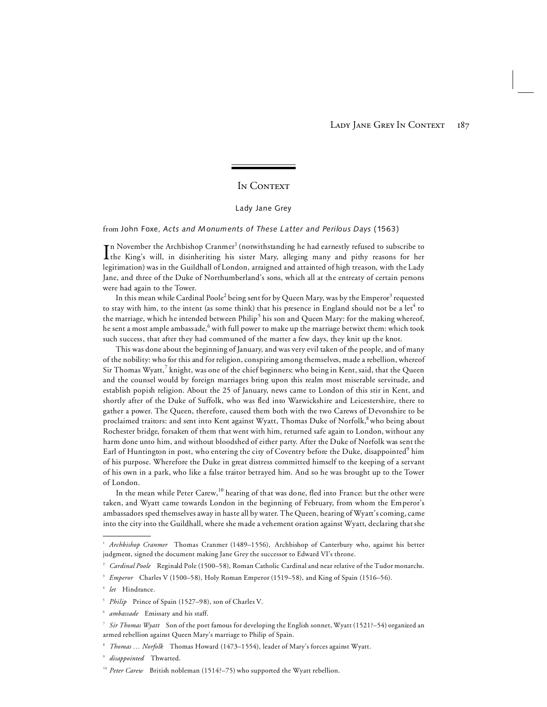# IN CONTEXT

#### Lady Jane Grey

from John Foxe, *Acts and Monuments of These Latter and Perilous Days* (1563)

In November the Archbishop Cranmer' (notwithstanding he had earnestly refused to subscribe to<br>the King's will, in disinheriting his sister Mary, alleging many and pithy reasons for her n November the Archbishop Cranmer<sup>1</sup> (notwithstanding he had earnestly refused to subscribe to legitimation) was in the Guildhall of London, arraigned and attainted of high treason, with the Lady Jane, and three of the Duke of Northumberland's sons, which all at the entreaty of certain persons were had again to the Tower.

In this mean while Cardinal Poole<sup>2</sup> being sent for by Queen Mary, was by the Emperor<sup>3</sup> requested to stay with him, to the intent (as some think) that his presence in England should not be a let $^4$  to the marriage, which he intended between Philip<sup>5</sup> his son and Queen Mary: for the making whereof, he sent a most ample ambassade, $^6$  with full power to make up the marriage betwixt them: which took such success, that after they had communed of the matter a few days, they knit up the knot.

This was done about the beginning of January, and was very evil taken of the people, and of many of the nobility: who for this and for religion, conspiring among themselves, made a rebellion, whereof Sir Thomas Wyatt, $^7$  knight, was one of the chief beginners: who being in Kent, said, that the Queen and the counsel would by foreign marriages bring upon this realm most miserable servitude, and establish popish religion. About the 25 of January, news came to London of this stir in Kent, and shortly after of the Duke of Suffolk, who was fled into Warwickshire and Leicestershire, there to gather a power. The Queen, therefore, caused them both with the two Carews of Devonshire to be proclaimed traitors: and sent into Kent against Wyatt, Thomas Duke of Norfolk,<sup>8</sup> who being about Rochester bridge, forsaken of them that went with him, returned safe again to London, without any harm done unto him, and without bloodshed of either party. After the Duke of Norfolk was sent the Earl of Huntington in post, who entering the city of Coventry before the Duke, disappointed $^9$  him of his purpose. Wherefore the Duke in great distress committed himself to the keeping of a servant of his own in a park, who like a false traitor betrayed him. And so he was brought up to the Tower of London.

In the mean while Peter Carew,  $^{\rm 10}$  hearing of that was done, fled into France: but the other were taken, and Wyatt came towards London in the beginning of February, from whom the Emperor's ambassadors sped themselves away in haste all by water. The Queen, hearing of Wyatt's coming, came into the city into the Guildhall, where she made a vehement oration against Wyatt, declaring that she

<sup>&</sup>lt;sup>1</sup> *Archbishop Cranmer* Thomas Cranmer (1489-1556), Archbishop of Canterbury who, against his better judgment, signed the document making Jane Grey the successor to Edward VI's throne.

<sup>2</sup> *Cardinal Poole* Reginald Pole (1500–58), Roman Catholic Cardinal and near relative of the Tudor monarchs.

<sup>&</sup>lt;sup>3</sup> *Emperor* Charles V (1500–58), Holy Roman Emperor (1519–58), and King of Spain (1516–56).

<sup>4</sup> *let* Hindrance.

<sup>5</sup> *Philip* Prince of Spain (1527–98), son of Charles V.

<sup>6</sup> *ambassade* Emissary and his staff.

<sup>7</sup> *Sir Thomas Wyatt* Son of the poet famous for developing the English sonnet, Wyatt (1521?–54) organized an armed rebellion against Queen Mary's marriage to Philip of Spain.

<sup>8</sup> *Thomas … Norfolk* Thomas Howard (1473–1554), leader of Mary's forces against Wyatt.

<sup>9</sup> *disappointed* Thwarted.

<sup>&</sup>lt;sup>10</sup> Peter Carew British nobleman (1514?-75) who supported the Wyatt rebellion.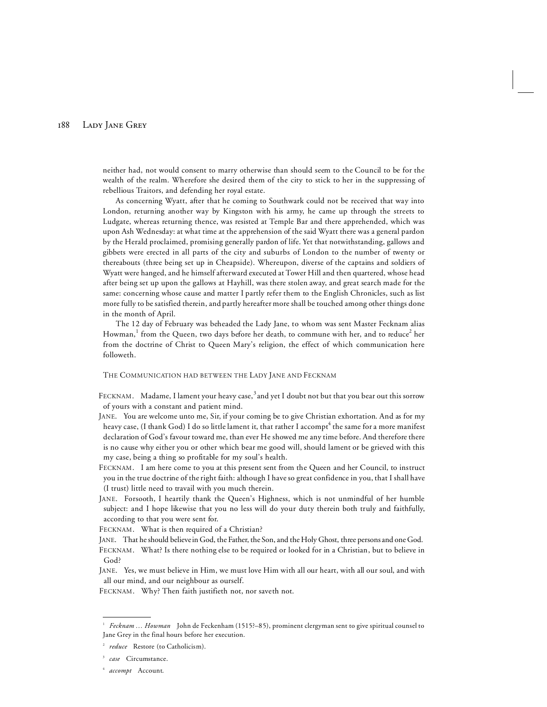neither had, not would consent to marry otherwise than should seem to the Council to be for the wealth of the realm. Wherefore she desired them of the city to stick to her in the suppressing of rebellious Traitors, and defending her royal estate.

As concerning Wyatt, after that he coming to Southwark could not be received that way into London, returning another way by Kingston with his army, he came up through the streets to Ludgate, whereas returning thence, was resisted at Temple Bar and there apprehended, which was upon Ash Wednesday: at what time at the apprehension of the said Wyatt there was a general pardon by the Herald proclaimed, promising generally pardon of life. Yet that notwithstanding, gallows and gibbets were erected in all parts of the city and suburbs of London to the number of twenty or thereabouts (three being set up in Cheapside). Whereupon, diverse of the captains and soldiers of Wyatt were hanged, and he himself afterward executed at Tower Hill and then quartered, whose head after being set up upon the gallows at Hayhill, was there stolen away, and great search made for the same: concerning whose cause and matter I partly refer them to the English Chronicles, such as list more fully to be satisfied therein, and partly hereafter more shall be touched among other things done in the month of April.

The 12 day of February was beheaded the Lady Jane, to whom was sent Master Fecknam alias Howman, $^{\rm l}$  from the Queen, two days before her death, to commune with her, and to reduce $^{\rm 2}$  her from the doctrine of Christ to Queen Mary's religion, the effect of which communication here followeth.

THE COMMUNICATION HAD BETWEEN THE LADY JANE AND FECKNAM

- FECKNAM. Madame, I lament your heavy case, $^3$ and yet I doubt not but that you bear out this sorrow of yours with a constant and patient mind.
- JANE. You are welcome unto me, Sir, if your coming be to give Christian exhortation. And as for my heavy case, (I thank God) I do so little lament it, that rather I accompt $^4$  the same for a more manifest declaration of God's favour toward me, than ever He showed me any time before. And therefore there is no cause why either you or other which bear me good will, should lament or be grieved with this my case, being a thing so profitable for my soul's health.
- FECKNAM. I am here come to you at this present sent from the Queen and her Council, to instruct you in the true doctrine of the right faith: although I have so great confidence in you, that I shall have (I trust) little need to travail with you much therein.
- JANE. Forsooth, I heartily thank the Queen's Highness, which is not unmindful of her humble subject: and I hope likewise that you no less will do your duty therein both truly and faithfully, according to that you were sent for.

FECKNAM. What is then required of a Christian?

- JANE. That heshould believein God, the Father, the Son, and the Holy Ghost, three persons and one God. FECKNAM. What? Is there nothing else to be required or looked for in a Christian, but to believe in God?
- JANE. Yes, we must believe in Him, we must love Him with all our heart, with all our soul, and with all our mind, and our neighbour as ourself.
- FECKNAM. Why? Then faith justifieth not, nor saveth not.

<sup>1</sup> *Fecknam … Howman* John de Feckenham (1515?–85), prominent clergyman sent to give spiritual counsel to Jane Grey in the final hours before her execution.

*reduce* Restore (to Catholicism).

<sup>3</sup> *case* Circumstance.

<sup>4</sup> *accompt* Account.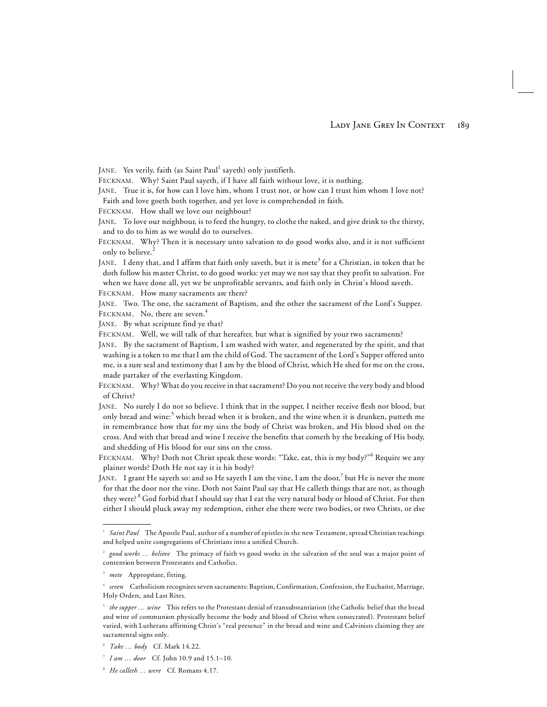JANE. Yes verily, faith (as Saint Paul<sup>1</sup> sayeth) only justifieth.

FECKNAM. Why? Saint Paul sayeth, if I have all faith without love, it is nothing.

JANE. True it is, for how can I love him, whom I trust not, or how can I trust him whom I love not? Faith and love goeth both together, and yet love is comprehended in faith.

FECKNAM. How shall we love our neighbour?

JANE. To love our neighbour, is to feed the hungry, to clothe the naked, and give drink to the thirsty, and to do to him as we would do to ourselves.

FECKNAM. Why? Then it is necessary unto salvation to do good works also, and it is not sufficient only to believe.<sup>2</sup>

JANE. I deny that, and I affirm that faith only saveth, but it is mete<sup>3</sup> for a Christian, in token that he doth follow his master Christ, to do good works: yet may we not say that they profit to salvation. For when we have done all, yet we be unprofitable servants, and faith only in Christ's blood saveth.

FECKNAM. How many sacraments are there?

JANE. Two. The one, the sacrament of Baptism, and the other the sacrament of the Lord's Supper. FECKNAM. No, there are seven.<sup>4</sup>

JANE. By what scripture find ye that?

FECKNAM. Well, we will talk of that hereafter, but what is signified by your two sacraments?

JANE. By the sacrament of Baptism, I am washed with water, and regenerated by the spirit, and that washing is a token to me that I am the child of God. The sacrament of the Lord's Supper offered unto me, is a sure seal and testimony that I am by the blood of Christ, which He shed for me on the cross, made partaker of the everlasting Kingdom.

FECKNAM. Why? What do you receive in that sacrament? Do you not receive the very body and blood of Christ?

JANE. No surely I do not so believe. I think that in the supper, I neither receive flesh nor blood, but only bread and wine:<sup>5</sup> which bread when it is broken, and the wine when it is drunken, putteth me in remembrance how that for my sins the body of Christ was broken, and His blood shed on the cross. And with that bread and wine I receive the benefits that cometh by the breaking of His body, and shedding of His blood for our sins on the cross.

FECKNAM. Why? Doth not Christ speak these words: "Take, eat, this is my body?"<sup>6</sup> Require we any plainer words? Doth He not say it is his body?

JANE. I grant He sayeth so: and so He sayeth I am the vine, I am the door, $^7$  but He is never the more for that the door nor the vine. Doth not Saint Paul say that He calleth things that are not, as though they were? <sup>8</sup> God forbid that I should say that I eat the very natural body or blood of Christ. For then either I should pluck away my redemption, either else there were two bodies, or two Christs, or else

<sup>1</sup> *Saint Paul* The Apostle Paul, author of a number of epistles in the new Testament, spread Christian teachings and helped unite congregations of Christians into a unified Church.

<sup>2</sup> *good works … believe* The primacy of faith vs good works in the salvation of the soul was a major point of contention between Protestants and Catholics.

<sup>3</sup> *mete* Appropriate, fitting.

<sup>4</sup> *seven* Catholicism recognizes seven sacraments: Baptism,Confirmation, Confession, the Eucharist, Marriage, Holy Orders, and Last Rites.

<sup>5</sup> *the supper … wine* This refers to the Protestant denial of transubstantiation (the Catholic belief that the bread and wine of communion physically become the body and blood of Christ when consecrated). Protestant belief varied, with Lutherans affirming Christ's "real presence" in the bread and wine and Calvinists claiming they are sacramental signs only.

<sup>6</sup> *Take … body* Cf. Mark 14.22.

<sup>7</sup> *I am … door* Cf. John 10.9 and 15.1–10.

<sup>8</sup> *He calleth … were* Cf. Romans 4.17.